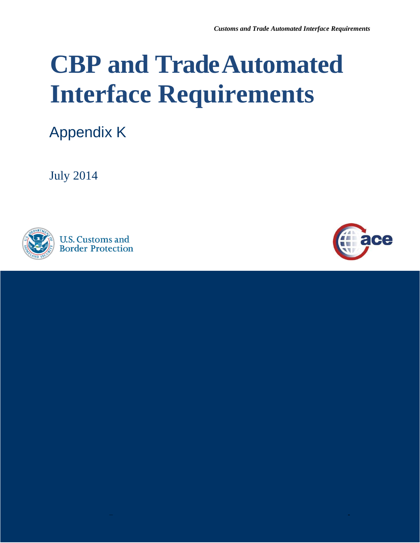# **CBP and TradeAutomated Interface Requirements**

Appendix K

July 2014





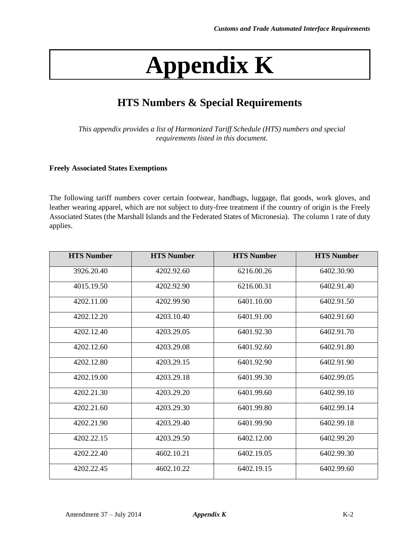## **Appendix K**

### **HTS Numbers & Special Requirements**

*This appendix provides a list of Harmonized Tariff Schedule (HTS) numbers and special requirements listed in this document.* 

#### **Freely Associated States Exemptions**

 The following tariff numbers cover certain footwear, handbags, luggage, flat goods, work gloves, and leather wearing apparel, which are not subject to duty-free treatment if the country of origin is the Freely Associated States (the Marshall Islands and the Federated States of Micronesia). The column 1 rate of duty applies.

| <b>HTS Number</b> | <b>HTS Number</b> | <b>HTS Number</b> | <b>HTS Number</b> |
|-------------------|-------------------|-------------------|-------------------|
| 3926.20.40        | 4202.92.60        | 6216.00.26        | 6402.30.90        |
| 4015.19.50        | 4202.92.90        | 6216.00.31        | 6402.91.40        |
| 4202.11.00        | 4202.99.90        | 6401.10.00        | 6402.91.50        |
| 4202.12.20        | 4203.10.40        | 6401.91.00        | 6402.91.60        |
| 4202.12.40        | 4203.29.05        | 6401.92.30        | 6402.91.70        |
| 4202.12.60        | 4203.29.08        | 6401.92.60        | 6402.91.80        |
| 4202.12.80        | 4203.29.15        | 6401.92.90        | 6402.91.90        |
| 4202.19.00        | 4203.29.18        | 6401.99.30        | 6402.99.05        |
| 4202.21.30        | 4203.29.20        | 6401.99.60        | 6402.99.10        |
| 4202.21.60        | 4203.29.30        | 6401.99.80        | 6402.99.14        |
| 4202.21.90        | 4203.29.40        | 6401.99.90        | 6402.99.18        |
| 4202.22.15        | 4203.29.50        | 6402.12.00        | 6402.99.20        |
| 4202.22.40        | 4602.10.21        | 6402.19.05        | 6402.99.30        |
| 4202.22.45        | 4602.10.22        | 6402.19.15        | 6402.99.60        |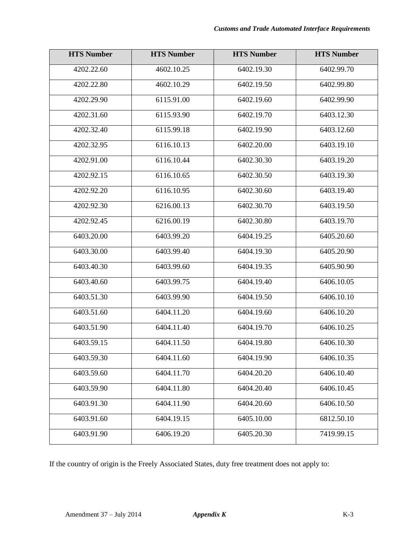| <b>HTS Number</b> | <b>HTS Number</b>        | <b>HTS Number</b> | <b>HTS Number</b> |
|-------------------|--------------------------|-------------------|-------------------|
| 4202.22.60        | 4602.10.25               | 6402.19.30        | 6402.99.70        |
| 4202.22.80        | 4602.10.29               | 6402.19.50        | 6402.99.80        |
| 4202.29.90        | 6115.91.00               | 6402.19.60        | 6402.99.90        |
| 4202.31.60        | 6115.93.90               | 6402.19.70        | 6403.12.30        |
| 4202.32.40        | 6115.99.18               | 6402.19.90        | 6403.12.60        |
| 4202.32.95        | $\overline{6}$ 116.10.13 | 6402.20.00        | 6403.19.10        |
| 4202.91.00        | 6116.10.44               | 6402.30.30        | 6403.19.20        |
| 4202.92.15        | 6116.10.65               | 6402.30.50        | 6403.19.30        |
| 4202.92.20        | 6116.10.95               | 6402.30.60        | 6403.19.40        |
| 4202.92.30        | 6216.00.13               | 6402.30.70        | 6403.19.50        |
| 4202.92.45        | 6216.00.19               | 6402.30.80        | 6403.19.70        |
| 6403.20.00        | 6403.99.20               | 6404.19.25        | 6405.20.60        |
| 6403.30.00        | 6403.99.40               | 6404.19.30        | 6405.20.90        |
| 6403.40.30        | 6403.99.60               | 6404.19.35        | 6405.90.90        |
| 6403.40.60        | 6403.99.75               | 6404.19.40        | 6406.10.05        |
| 6403.51.30        | 6403.99.90               | 6404.19.50        | 6406.10.10        |
| 6403.51.60        | 6404.11.20               | 6404.19.60        | 6406.10.20        |
| 6403.51.90        | 6404.11.40               | 6404.19.70        | 6406.10.25        |
| 6403.59.15        | 6404.11.50               | 6404.19.80        | 6406.10.30        |
| 6403.59.30        | 6404.11.60               | 6404.19.90        | 6406.10.35        |
| 6403.59.60        | 6404.11.70               | 6404.20.20        | 6406.10.40        |
| 6403.59.90        | 6404.11.80               | 6404.20.40        | 6406.10.45        |
| 6403.91.30        | 6404.11.90               | 6404.20.60        | 6406.10.50        |
| 6403.91.60        | 6404.19.15               | 6405.10.00        | 6812.50.10        |
| 6403.91.90        | 6406.19.20               | 6405.20.30        | 7419.99.15        |

If the country of origin is the Freely Associated States, duty free treatment does not apply to: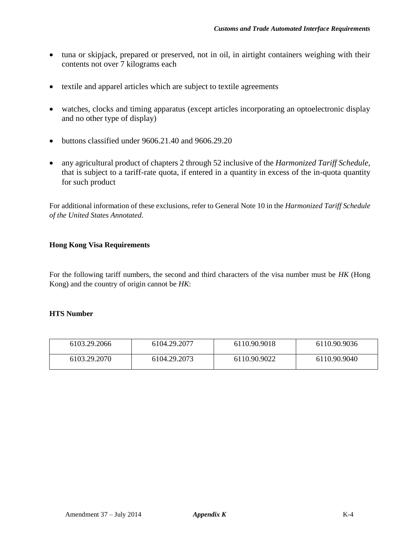- tuna or skipjack, prepared or preserved, not in oil, in airtight containers weighing with their contents not over 7 kilograms each
- textile and apparel articles which are subject to textile agreements
- watches, clocks and timing apparatus (except articles incorporating an optoelectronic display and no other type of display)
- $\bullet$  buttons classified under 9606.21.40 and 9606.29.20
- that is subject to a tariff-rate quota, if entered in a quantity in excess of the in-quota quantity any agricultural product of chapters 2 through 52 inclusive of the *Harmonized Tariff Schedule*, for such product

 For additional information of these exclusions, refer to General Note 10 in the *Harmonized Tariff Schedule of the United States Annotated*.

#### **Hong Kong Visa Requirements**

 For the following tariff numbers, the second and third characters of the visa number must be *HK* (Hong Kong) and the country of origin cannot be *HK*:

#### **HTS Number**

| 6103.29.2066 | 6104.29.2077 | 6110.90.9018 | 6110.90.9036 |
|--------------|--------------|--------------|--------------|
| 6103.29.2070 | 6104.29.2073 | 6110.90.9022 | 6110.90.9040 |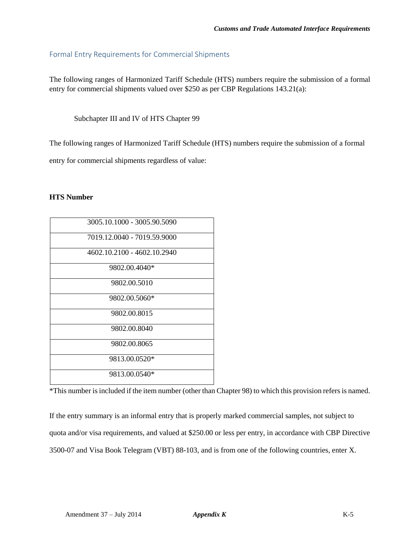#### Formal Entry Requirements for Commercial Shipments

 The following ranges of Harmonized Tariff Schedule (HTS) numbers require the submission of a formal entry for commercial shipments valued over \$250 as per CBP Regulations 143.21(a):

Subchapter III and IV of HTS Chapter 99

The following ranges of Harmonized Tariff Schedule (HTS) numbers require the submission of a formal

entry for commercial shipments regardless of value:

#### **HTS Number**

| 3005.10.1000 - 3005.90.5090 |
|-----------------------------|
| 7019.12.0040 - 7019.59.9000 |
| 4602.10.2100 - 4602.10.2940 |
| 9802.00.4040*               |
| 9802.00.5010                |
| 9802.00.5060*               |
| 9802.00.8015                |
| 9802.00.8040                |
| 9802.00.8065                |
| 9813.00.0520*               |
| 9813.00.0540*               |

\*This number is included if the item number (other than Chapter 98) to which this provision refers is named.

 If the entry summary is an informal entry that is properly marked commercial samples, not subject to quota and/or visa requirements, and valued at \$250.00 or less per entry, in accordance with CBP Directive 3500-07 and Visa Book Telegram (VBT) 88-103, and is from one of the following countries, enter X.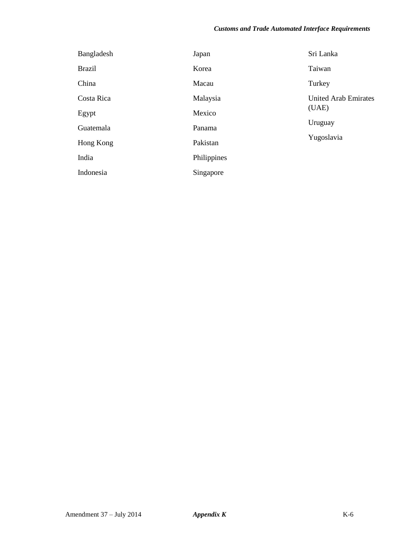#### *Customs and Trade Automated Interface Requirements*

| Bangladesh    | Japan       | Sri Lanka                                                     |
|---------------|-------------|---------------------------------------------------------------|
| <b>Brazil</b> | Korea       | Taiwan                                                        |
| China         | Macau       | Turkey                                                        |
| Costa Rica    | Malaysia    | <b>United Arab Emirates</b><br>(UAE)<br>Uruguay<br>Yugoslavia |
| Egypt         | Mexico      |                                                               |
| Guatemala     | Panama      |                                                               |
| Hong Kong     | Pakistan    |                                                               |
| India         | Philippines |                                                               |
| Indonesia     | Singapore   |                                                               |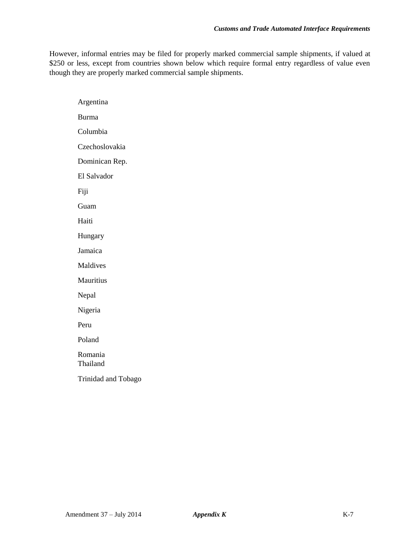However, informal entries may be filed for properly marked commercial sample shipments, if valued at \$250 or less, except from countries shown below which require formal entry regardless of value even though they are properly marked commercial sample shipments.

Argentina Burma Columbia Czechoslovakia Dominican Rep. El Salvador Fiji Guam Haiti Hungary Jamaica Maldives Mauritius Nepal Nigeria Peru Poland Romania Thailand Trinidad and Tobago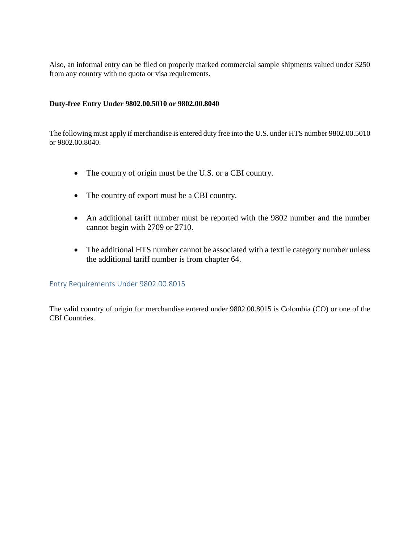Also, an informal entry can be filed on properly marked commercial sample shipments valued under \$250 from any country with no quota or visa requirements.

#### **Duty-free Entry Under 9802.00.5010 or 9802.00.8040**

 The following must apply if merchandise is entered duty free into the U.S. under HTS number 9802.00.5010 or 9802.00.8040.

- The country of origin must be the U.S. or a CBI country.
- The country of export must be a CBI country.
- An additional tariff number must be reported with the 9802 number and the number cannot begin with 2709 or 2710.
- The additional HTS number cannot be associated with a textile category number unless the additional tariff number is from chapter 64.

#### Entry Requirements Under 9802.00.8015

 The valid country of origin for merchandise entered under 9802.00.8015 is Colombia (CO) or one of the CBI Countries.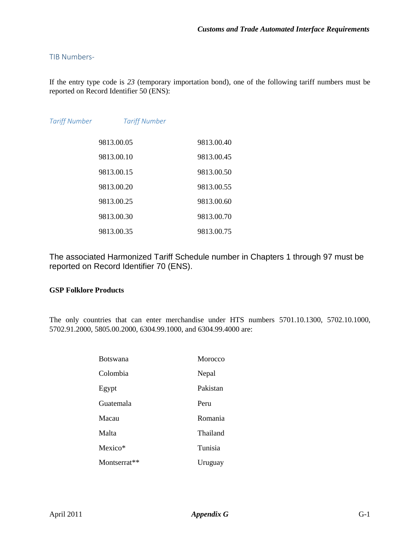#### TIB Numbers-

 If the entry type code is *23* (temporary importation bond), one of the following tariff numbers must be reported on Record Identifier 50 (ENS):

| <b>Tariff Number</b> | <b>Tariff Number</b> |            |
|----------------------|----------------------|------------|
|                      | 9813.00.05           | 9813.00.40 |
|                      | 9813.00.10           | 9813.00.45 |
|                      | 9813.00.15           | 9813.00.50 |
|                      | 9813.00.20           | 9813.00.55 |
|                      | 9813.00.25           | 9813.00.60 |
|                      | 9813.00.30           | 9813.00.70 |
|                      | 9813.00.35           | 9813.00.75 |

 The associated Harmonized Tariff Schedule number in Chapters 1 through 97 must be reported on Record Identifier 70 (ENS).

#### **GSP Folklore Products**

 The only countries that can enter merchandise under HTS numbers 5701.10.1300, 5702.10.1000, 5702.91.2000, 5805.00.2000, 6304.99.1000, and 6304.99.4000 are:

| Botswana     | Morocco  |
|--------------|----------|
| Colombia     | Nepal    |
| Egypt        | Pakistan |
| Guatemala    | Peru     |
| Macau        | Romania  |
| Malta        | Thailand |
| Mexico*      | Tunisia  |
| Montserrat** | Uruguay  |